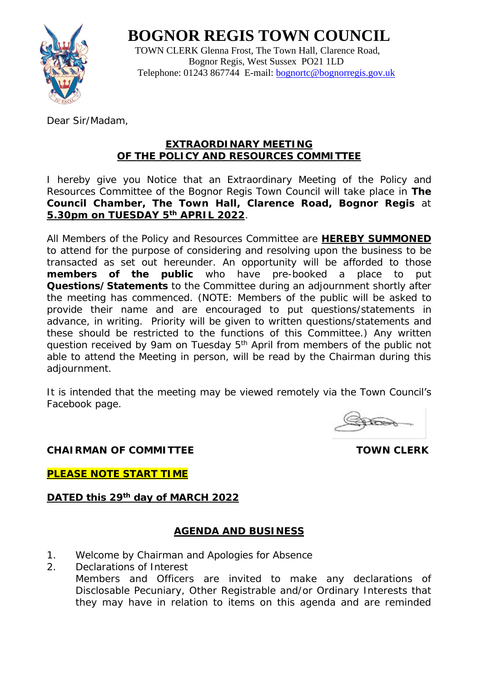**BOGNOR REGIS TOWN COUNCIL**



 TOWN CLERK Glenna Frost, The Town Hall, Clarence Road, Bognor Regis, West Sussex PO21 1LD Telephone: 01243 867744 E-mail: [bognortc@bognorregis.gov.uk](mailto:bognortc@bognorregis.gov.uk)

Dear Sir/Madam,

# **EXTRAORDINARY MEETING OF THE POLICY AND RESOURCES COMMITTEE**

I hereby give you Notice that an Extraordinary Meeting of the Policy and Resources Committee of the Bognor Regis Town Council will take place in **The Council Chamber, The Town Hall, Clarence Road, Bognor Regis** at **5.30pm on TUESDAY 5th APRIL 2022**.

All Members of the Policy and Resources Committee are **HEREBY SUMMONED** to attend for the purpose of considering and resolving upon the business to be transacted as set out hereunder. An opportunity will be afforded to those **members of the public** who have pre-booked a place to put **Questions/Statements** to the Committee during an adjournment shortly after the meeting has commenced. (NOTE: Members of the public will be asked to provide their name and are encouraged to put questions/statements in advance, in writing. Priority will be given to written questions/statements and these should be restricted to the functions of this Committee.) Any written question received by 9am on Tuesday 5<sup>th</sup> April from members of the public not able to attend the Meeting in person, will be read by the Chairman during this adjournment.

It is intended that the meeting may be viewed remotely via the Town Council's Facebook page.

**KORN** 

**CHAIRMAN OF COMMITTEE** TOWN CLERK

**PLEASE NOTE START TIME**

**DATED this 29th day of MARCH 2022** 

# **AGENDA AND BUSINESS**

- 1. Welcome by Chairman and Apologies for Absence
- 2. Declarations of Interest

Members and Officers are invited to make any declarations of Disclosable Pecuniary, Other Registrable and/or Ordinary Interests that they may have in relation to items on this agenda and are reminded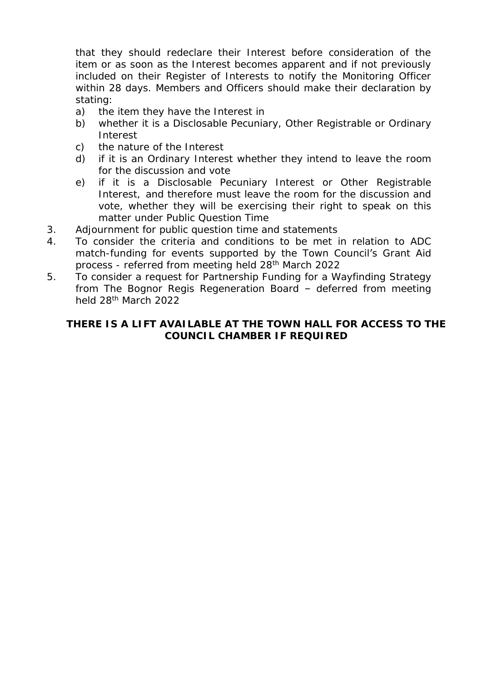that they should redeclare their Interest before consideration of the item or as soon as the Interest becomes apparent and if not previously included on their Register of Interests to notify the Monitoring Officer within 28 days. Members and Officers should make their declaration by stating:

- a) the item they have the Interest in
- b) whether it is a Disclosable Pecuniary, Other Registrable or Ordinary Interest
- c) the nature of the Interest
- d) if it is an Ordinary Interest whether they intend to leave the room for the discussion and vote
- e) if it is a Disclosable Pecuniary Interest or Other Registrable Interest, and therefore must leave the room for the discussion and vote, whether they will be exercising their right to speak on this matter under Public Question Time
- 3. Adjournment for public question time and statements
- 4. To consider the criteria and conditions to be met in relation to ADC match-funding for events supported by the Town Council's Grant Aid process - referred from meeting held 28th March 2022
- 5. To consider a request for Partnership Funding for a Wayfinding Strategy from The Bognor Regis Regeneration Board – deferred from meeting held 28th March 2022

**THERE IS A LIFT AVAILABLE AT THE TOWN HALL FOR ACCESS TO THE COUNCIL CHAMBER IF REQUIRED**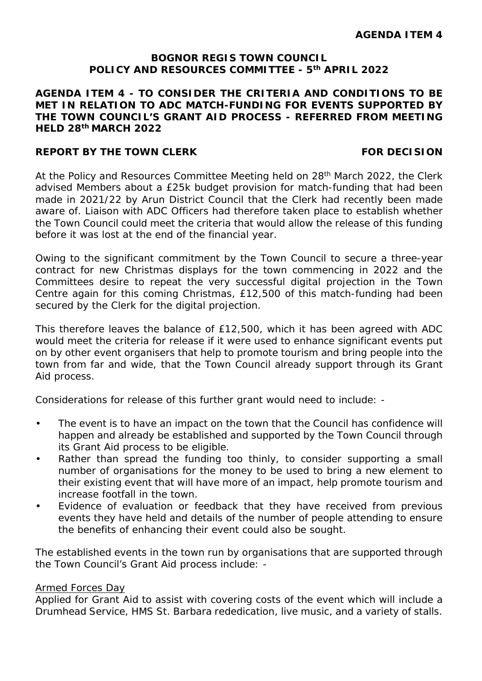# **BOGNOR REGIS TOWN COUNCIL POLICY AND RESOURCES COMMITTEE - 5th APRIL 2022**

**AGENDA ITEM 4 - TO CONSIDER THE CRITERIA AND CONDITIONS TO BE MET IN RELATION TO ADC MATCH-FUNDING FOR EVENTS SUPPORTED BY THE TOWN COUNCIL'S GRANT AID PROCESS - REFERRED FROM MEETING HELD 28th MARCH 2022**

# **REPORT BY THE TOWN CLERK FOR DECISION**

At the Policy and Resources Committee Meeting held on 28<sup>th</sup> March 2022, the Clerk advised Members about a £25k budget provision for match-funding that had been made in 2021/22 by Arun District Council that the Clerk had recently been made aware of. Liaison with ADC Officers had therefore taken place to establish whether the Town Council could meet the criteria that would allow the release of this funding before it was lost at the end of the financial year.

Owing to the significant commitment by the Town Council to secure a three-year contract for new Christmas displays for the town commencing in 2022 and the Committees desire to repeat the very successful digital projection in the Town Centre again for this coming Christmas, £12,500 of this match-funding had been secured by the Clerk for the digital projection.

This therefore leaves the balance of £12,500, which it has been agreed with ADC would meet the criteria for release if it were used to enhance significant events put on by other event organisers that help to promote tourism and bring people into the town from far and wide, that the Town Council already support through its Grant Aid process.

Considerations for release of this further grant would need to include: -

- The event is to have an impact on the town that the Council has confidence will  $\overline{a}$ happen and already be established and supported by the Town Council through its Grant Aid process to be eligible.
- Rather than spread the funding too thinly, to consider supporting a small number of organisations for the money to be used to bring a new element to their existing event that will have more of an impact, help promote tourism and increase footfall in the town.
- Evidence of evaluation or feedback that they have received from previous events they have held and details of the number of people attending to ensure the benefits of enhancing their event could also be sought.

The established events in the town run by organisations that are supported through the Town Council's Grant Aid process include: -

#### Armed Forces Day

Applied for Grant Aid to assist with covering costs of the event which will include a Drumhead Service, HMS St. Barbara rededication, live music, and a variety of stalls.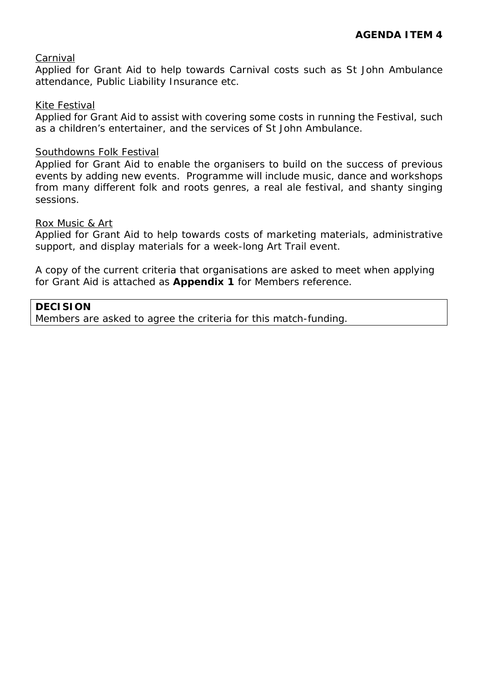# Carnival

Applied for Grant Aid to help towards Carnival costs such as St John Ambulance attendance, Public Liability Insurance etc.

### Kite Festival

Applied for Grant Aid to assist with covering some costs in running the Festival, such as a children's entertainer, and the services of St John Ambulance.

### Southdowns Folk Festival

Applied for Grant Aid to enable the organisers to build on the success of previous events by adding new events. Programme will include music, dance and workshops from many different folk and roots genres, a real ale festival, and shanty singing sessions.

## Rox Music & Art

Applied for Grant Aid to help towards costs of marketing materials, administrative support, and display materials for a week-long Art Trail event.

A copy of the current criteria that organisations are asked to meet when applying for Grant Aid is attached as **Appendix 1** for Members reference.

**DECISION**

Members are asked to agree the criteria for this match-funding.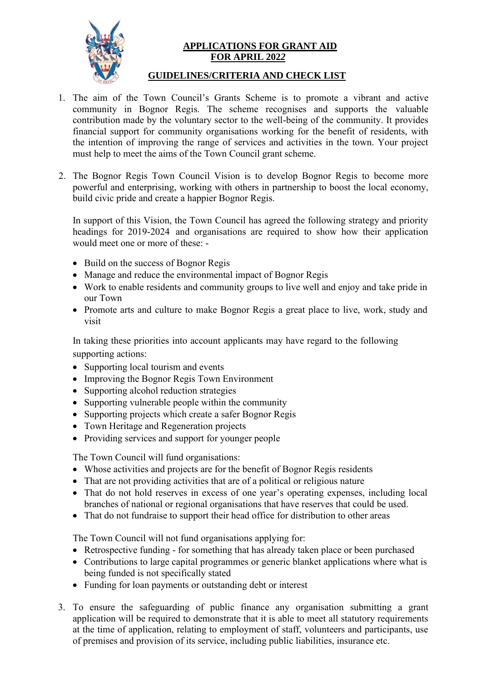

### **APPLICATIONS FOR GRANT AID FOR APRIL 202***2*

# **GUIDELINES/CRITERIA AND CHECK LIST**

- 1. The aim of the Town Council's Grants Scheme is to promote a vibrant and active community in Bognor Regis. The scheme recognises and supports the valuable contribution made by the voluntary sector to the well-being of the community. It provides financial support for community organisations working for the benefit of residents, with the intention of improving the range of services and activities in the town. Your project must help to meet the aims of the Town Council grant scheme.
- 2. The Bognor Regis Town Council Vision is to develop Bognor Regis to become more powerful and enterprising, working with others in partnership to boost the local economy, build civic pride and create a happier Bognor Regis.

In support of this Vision, the Town Council has agreed the following strategy and priority headings for 2019-2024 and organisations are required to show how their application would meet one or more of these: -

- Build on the success of Bognor Regis
- Manage and reduce the environmental impact of Bognor Regis
- Work to enable residents and community groups to live well and enjoy and take pride in our Town
- Promote arts and culture to make Bognor Regis a great place to live, work, study and visit

In taking these priorities into account applicants may have regard to the following supporting actions:

- Supporting local tourism and events
- Improving the Bognor Regis Town Environment
- Supporting alcohol reduction strategies
- Supporting vulnerable people within the community
- Supporting projects which create a safer Bognor Regis
- Town Heritage and Regeneration projects
- Providing services and support for younger people

The Town Council will fund organisations:

- Whose activities and projects are for the benefit of Bognor Regis residents
- That are not providing activities that are of a political or religious nature
- That do not hold reserves in excess of one year's operating expenses, including local branches of national or regional organisations that have reserves that could be used.
- That do not fundraise to support their head office for distribution to other areas

The Town Council will not fund organisations applying for:

- Retrospective funding for something that has already taken place or been purchased
- Contributions to large capital programmes or generic blanket applications where what is being funded is not specifically stated
- Funding for loan payments or outstanding debt or interest
- 3. To ensure the safeguarding of public finance any organisation submitting a grant application will be required to demonstrate that it is able to meet all statutory requirements at the time of application, relating to employment of staff, volunteers and participants, use of premises and provision of its service, including public liabilities, insurance etc.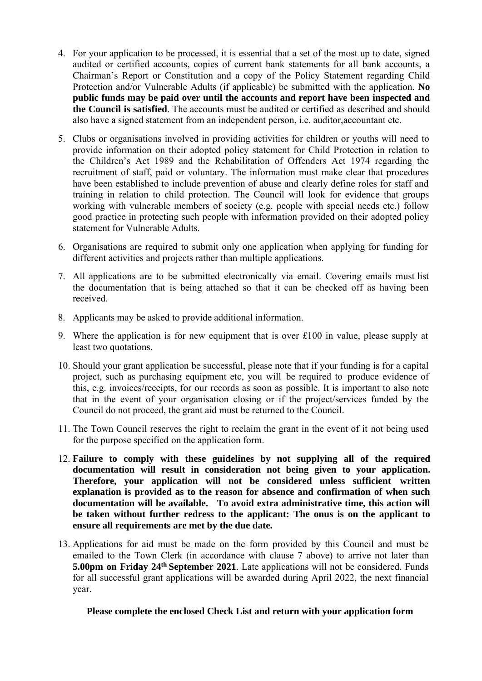- 4. For your application to be processed, it is essential that a set of the most up to date, signed audited or certified accounts, copies of current bank statements for all bank accounts, a Chairman's Report or Constitution and a copy of the Policy Statement regarding Child Protection and/or Vulnerable Adults (if applicable) be submitted with the application. **No public funds may be paid over until the accounts and report have been inspected and the Council is satisfied**. The accounts must be audited or certified as described and should also have a signed statement from an independent person, i.e. auditor,accountant etc.
- 5. Clubs or organisations involved in providing activities for children or youths will need to provide information on their adopted policy statement for Child Protection in relation to the Children's Act 1989 and the Rehabilitation of Offenders Act 1974 regarding the recruitment of staff, paid or voluntary. The information must make clear that procedures have been established to include prevention of abuse and clearly define roles for staff and training in relation to child protection. The Council will look for evidence that groups working with vulnerable members of society (e.g. people with special needs etc.) follow good practice in protecting such people with information provided on their adopted policy statement for Vulnerable Adults.
- 6. Organisations are required to submit only one application when applying for funding for different activities and projects rather than multiple applications.
- 7. All applications are to be submitted electronically via email. Covering emails must list the documentation that is being attached so that it can be checked off as having been received.
- 8. Applicants may be asked to provide additional information.
- 9. Where the application is for new equipment that is over £100 in value, please supply at least two quotations.
- 10. Should your grant application be successful, please note that if your funding is for a capital project, such as purchasing equipment etc, you will be required to produce evidence of this, e.g. invoices/receipts, for our records as soon as possible. It is important to also note that in the event of your organisation closing or if the project/services funded by the Council do not proceed, the grant aid must be returned to the Council.
- 11. The Town Council reserves the right to reclaim the grant in the event of it not being used for the purpose specified on the application form.
- 12. **Failure to comply with these guidelines by not supplying all of the required documentation will result in consideration not being given to your application. Therefore, your application will not be considered unless sufficient written explanation is provided as to the reason for absence and confirmation of when such documentation will be available. To avoid extra administrative time, this action will be taken without further redress to the applicant: The onus is on the applicant to ensure all requirements are met by the due date.**
- 13. Applications for aid must be made on the form provided by this Council and must be emailed to the Town Clerk (in accordance with clause 7 above) to arrive not later than **5.00pm on Friday 24th September 2021**. Late applications will not be considered. Funds for all successful grant applications will be awarded during April 2022, the next financial year.

**Please complete the enclosed Check List and return with your application form**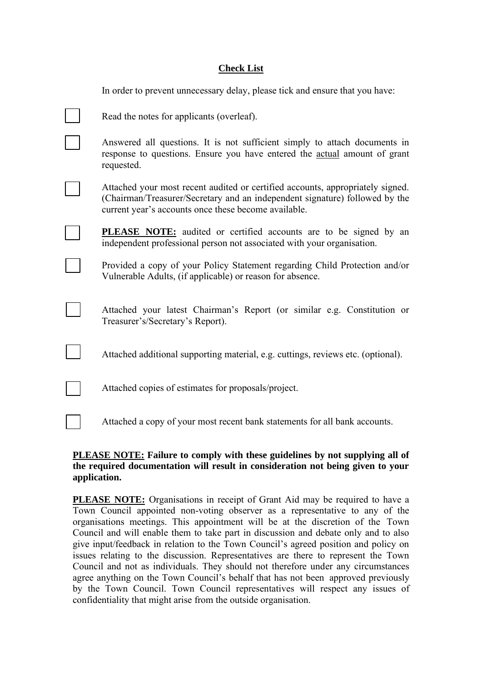#### **Check List**

| In order to prevent unnecessary delay, please tick and ensure that you have:                                                                                                                                          |
|-----------------------------------------------------------------------------------------------------------------------------------------------------------------------------------------------------------------------|
| Read the notes for applicants (overleaf).                                                                                                                                                                             |
| Answered all questions. It is not sufficient simply to attach documents in<br>response to questions. Ensure you have entered the actual amount of grant<br>requested.                                                 |
| Attached your most recent audited or certified accounts, appropriately signed.<br>(Chairman/Treasurer/Secretary and an independent signature) followed by the<br>current year's accounts once these become available. |
| <b>PLEASE NOTE:</b> audited or certified accounts are to be signed by an<br>independent professional person not associated with your organisation.                                                                    |
| Provided a copy of your Policy Statement regarding Child Protection and/or<br>Vulnerable Adults, (if applicable) or reason for absence.                                                                               |
| Attached your latest Chairman's Report (or similar e.g. Constitution or<br>Treasurer's/Secretary's Report).                                                                                                           |
| Attached additional supporting material, e.g. cuttings, reviews etc. (optional).                                                                                                                                      |
| Attached copies of estimates for proposals/project.                                                                                                                                                                   |
| Attached a copy of your most recent bank statements for all bank accounts.                                                                                                                                            |

#### **PLEASE NOTE: Failure to comply with these guidelines by not supplying all of the required documentation will result in consideration not being given to your application.**

**PLEASE NOTE:** Organisations in receipt of Grant Aid may be required to have a Town Council appointed non-voting observer as a representative to any of the organisations meetings. This appointment will be at the discretion of the Town Council and will enable them to take part in discussion and debate only and to also give input/feedback in relation to the Town Council's agreed position and policy on issues relating to the discussion. Representatives are there to represent the Town Council and not as individuals. They should not therefore under any circumstances agree anything on the Town Council's behalf that has not been approved previously by the Town Council. Town Council representatives will respect any issues of confidentiality that might arise from the outside organisation.